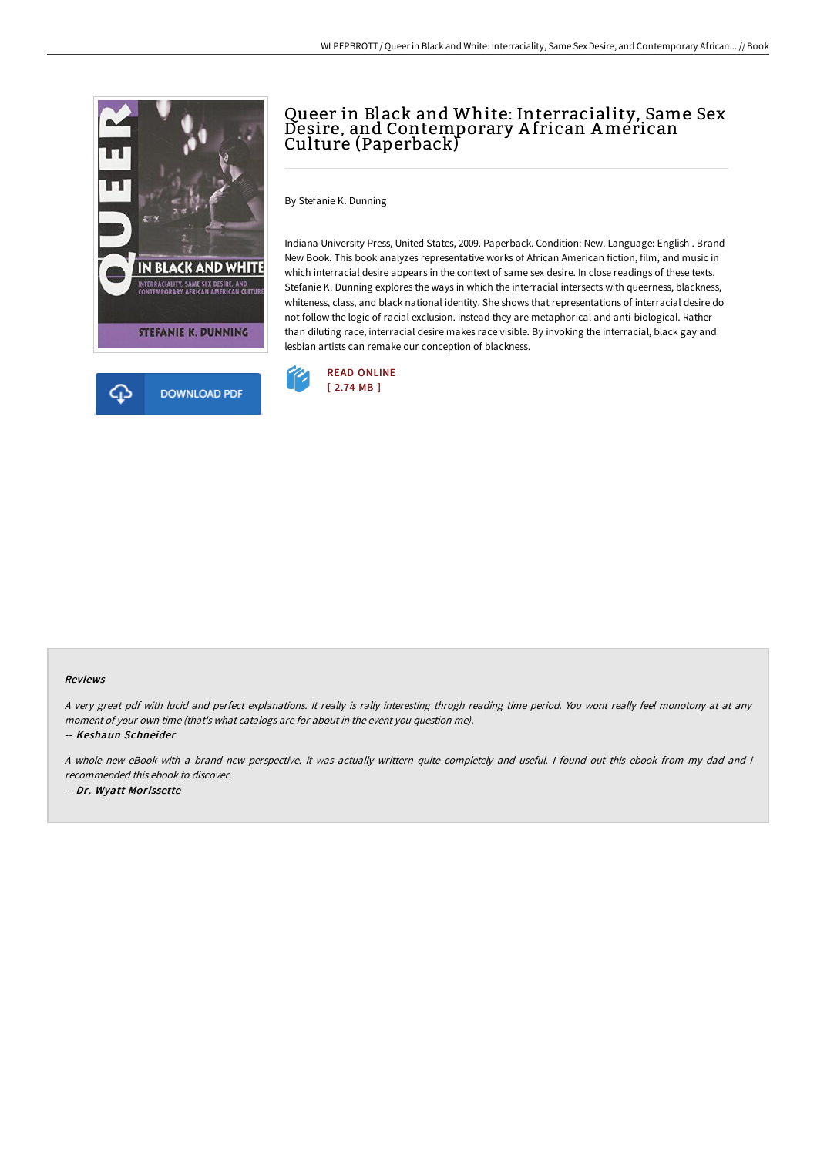

## Queer in Black and White: Interraciality, Same Sex Desire, and Contemporary A frican American Culture (Paperback)

By Stefanie K. Dunning

Indiana University Press, United States, 2009. Paperback. Condition: New. Language: English . Brand New Book. This book analyzes representative works of African American fiction, film, and music in which interracial desire appears in the context of same sex desire. In close readings of these texts, Stefanie K. Dunning explores the ways in which the interracial intersects with queerness, blackness, whiteness, class, and black national identity. She shows that representations of interracial desire do not follow the logic of racial exclusion. Instead they are metaphorical and anti-biological. Rather than diluting race, interracial desire makes race visible. By invoking the interracial, black gay and lesbian artists can remake our conception of blackness.



## Reviews

<sup>A</sup> very great pdf with lucid and perfect explanations. It really is rally interesting throgh reading time period. You wont really feel monotony at at any moment of your own time (that's what catalogs are for about in the event you question me).

-- Keshaun Schneider

A whole new eBook with <sup>a</sup> brand new perspective. it was actually writtern quite completely and useful. I found out this ebook from my dad and i recommended this ebook to discover.

-- Dr. Wyatt Morissette